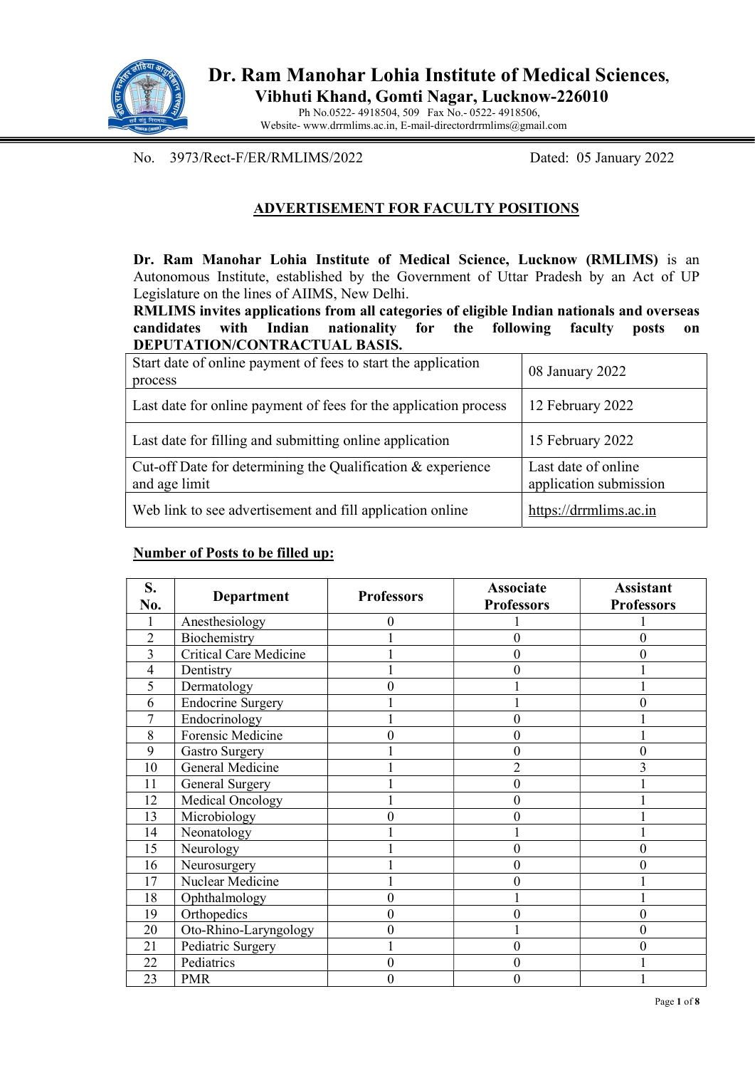

 Ph No.0522- 4918504, 509 Fax No.- 0522- 4918506, Website- www.drrmlims.ac.in, E-mail-directordrrmlims@gmail.com

No. 3973/Rect-F/ER/RMLIMS/2022 Dated: 05 January 2022

### ADVERTISEMENT FOR FACULTY POSITIONS

Dr. Ram Manohar Lohia Institute of Medical Science, Lucknow (RMLIMS) is an Autonomous Institute, established by the Government of Uttar Pradesh by an Act of UP Legislature on the lines of AIIMS, New Delhi.

RMLIMS invites applications from all categories of eligible Indian nationals and overseas candidates with Indian nationality for the following faculty posts on DEPUTATION/CONTRACTUAL BASIS.

| Start date of online payment of fees to start the application<br>process     | 08 January 2022                               |
|------------------------------------------------------------------------------|-----------------------------------------------|
| Last date for online payment of fees for the application process             | 12 February 2022                              |
| Last date for filling and submitting online application                      | 15 February 2022                              |
| Cut-off Date for determining the Qualification & experience<br>and age limit | Last date of online<br>application submission |
| Web link to see advertisement and fill application online                    | https://drrmlims.ac.in                        |

#### Number of Posts to be filled up:

| S.<br>No.      | <b>Department</b>             | <b>Professors</b> | <b>Associate</b><br><b>Professors</b> | <b>Assistant</b><br><b>Professors</b> |
|----------------|-------------------------------|-------------------|---------------------------------------|---------------------------------------|
|                | Anesthesiology                |                   |                                       |                                       |
| $\overline{2}$ | Biochemistry                  |                   | $\theta$                              | 0                                     |
| 3              | <b>Critical Care Medicine</b> |                   | $\boldsymbol{0}$                      |                                       |
| 4              | Dentistry                     |                   | 0                                     |                                       |
| 5              | Dermatology                   |                   |                                       |                                       |
| 6              | <b>Endocrine Surgery</b>      |                   |                                       |                                       |
| 7              | Endocrinology                 |                   | 0                                     |                                       |
| 8              | Forensic Medicine             |                   | 0                                     |                                       |
| 9              | <b>Gastro Surgery</b>         |                   | 0                                     |                                       |
| 10             | General Medicine              |                   | $\overline{2}$                        |                                       |
| 11             | General Surgery               |                   | $\boldsymbol{0}$                      |                                       |
| 12             | Medical Oncology              |                   | $\boldsymbol{0}$                      |                                       |
| 13             | Microbiology                  |                   | 0                                     |                                       |
| 14             | Neonatology                   |                   |                                       |                                       |
| 15             | Neurology                     |                   | 0                                     |                                       |
| 16             | Neurosurgery                  |                   | $\boldsymbol{0}$                      |                                       |
| 17             | Nuclear Medicine              |                   | $\overline{0}$                        |                                       |
| 18             | Ophthalmology                 | 0                 |                                       |                                       |
| 19             | Orthopedics                   | 0                 | 0                                     | $\theta$                              |
| 20             | Oto-Rhino-Laryngology         | 0                 |                                       | $\boldsymbol{0}$                      |
| 21             | Pediatric Surgery             |                   | $\overline{0}$                        | $\theta$                              |
| 22             | Pediatrics                    | 0                 | $\overline{0}$                        |                                       |
| 23             | <b>PMR</b>                    | 0                 | 0                                     |                                       |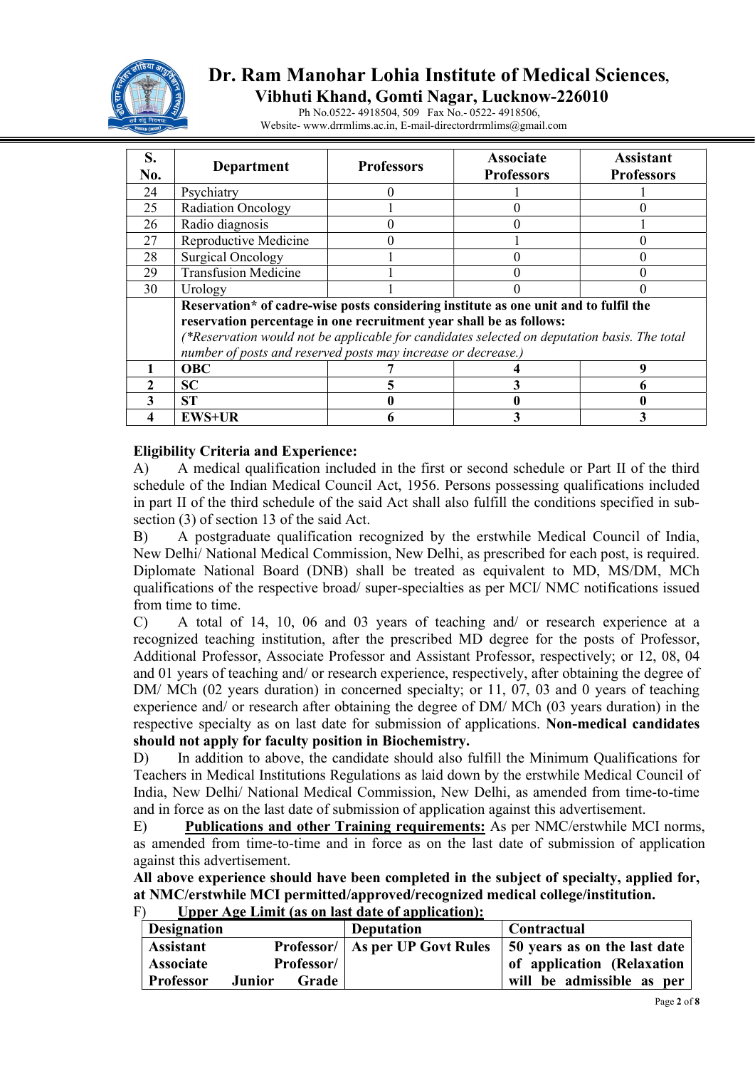

# Dr. Ram Manohar Lohia Institute of Medical Sciences,

Vibhuti Khand, Gomti Nagar, Lucknow-226010

 Ph No.0522- 4918504, 509 Fax No.- 0522- 4918506, Website- www.drrmlims.ac.in, E-mail-directordrrmlims@gmail.com

| S.<br>No. | Department                                                                                                                                                                                                                                                                                                                   | <b>Professors</b> | <b>Associate</b><br><b>Professors</b> | <b>Assistant</b><br><b>Professors</b> |  |
|-----------|------------------------------------------------------------------------------------------------------------------------------------------------------------------------------------------------------------------------------------------------------------------------------------------------------------------------------|-------------------|---------------------------------------|---------------------------------------|--|
| 24        | Psychiatry                                                                                                                                                                                                                                                                                                                   |                   |                                       |                                       |  |
| 25        | <b>Radiation Oncology</b>                                                                                                                                                                                                                                                                                                    |                   |                                       |                                       |  |
| 26        | Radio diagnosis                                                                                                                                                                                                                                                                                                              |                   |                                       |                                       |  |
| 27        | Reproductive Medicine                                                                                                                                                                                                                                                                                                        |                   |                                       |                                       |  |
| 28        | <b>Surgical Oncology</b>                                                                                                                                                                                                                                                                                                     |                   |                                       |                                       |  |
| 29        | <b>Transfusion Medicine</b>                                                                                                                                                                                                                                                                                                  |                   |                                       |                                       |  |
| 30        | Urology                                                                                                                                                                                                                                                                                                                      |                   |                                       |                                       |  |
|           | Reservation* of cadre-wise posts considering institute as one unit and to fulfil the<br>reservation percentage in one recruitment year shall be as follows:<br>(*Reservation would not be applicable for candidates selected on deputation basis. The total<br>number of posts and reserved posts may increase or decrease.) |                   |                                       |                                       |  |
|           | <b>OBC</b>                                                                                                                                                                                                                                                                                                                   |                   |                                       |                                       |  |
|           | <b>SC</b>                                                                                                                                                                                                                                                                                                                    |                   |                                       |                                       |  |
|           | <b>ST</b>                                                                                                                                                                                                                                                                                                                    |                   |                                       |                                       |  |
|           | <b>EWS+UR</b>                                                                                                                                                                                                                                                                                                                |                   |                                       |                                       |  |

#### Eligibility Criteria and Experience:

A) A medical qualification included in the first or second schedule or Part II of the third schedule of the Indian Medical Council Act, 1956. Persons possessing qualifications included in part II of the third schedule of the said Act shall also fulfill the conditions specified in subsection (3) of section 13 of the said Act.

B) A postgraduate qualification recognized by the erstwhile Medical Council of India, New Delhi/ National Medical Commission, New Delhi, as prescribed for each post, is required. Diplomate National Board (DNB) shall be treated as equivalent to MD, MS/DM, MCh qualifications of the respective broad/ super-specialties as per MCI/ NMC notifications issued from time to time.

C) A total of 14, 10, 06 and 03 years of teaching and/ or research experience at a recognized teaching institution, after the prescribed MD degree for the posts of Professor, Additional Professor, Associate Professor and Assistant Professor, respectively; or 12, 08, 04 and 01 years of teaching and/ or research experience, respectively, after obtaining the degree of DM/ MCh (02 years duration) in concerned specialty; or 11, 07, 03 and 0 years of teaching experience and/ or research after obtaining the degree of DM/ MCh (03 years duration) in the respective specialty as on last date for submission of applications. Non-medical candidates should not apply for faculty position in Biochemistry.

D) In addition to above, the candidate should also fulfill the Minimum Qualifications for Teachers in Medical Institutions Regulations as laid down by the erstwhile Medical Council of India, New Delhi/ National Medical Commission, New Delhi, as amended from time-to-time and in force as on the last date of submission of application against this advertisement.

E) Publications and other Training requirements: As per NMC/erstwhile MCI norms, as amended from time-to-time and in force as on the last date of submission of application against this advertisement.

All above experience should have been completed in the subject of specialty, applied for, at NMC/erstwhile MCI permitted/approved/recognized medical college/institution.  $F$  Unper Age Limit (as on last date of application):

| Opper Age Emme (as on last date of application). |        |                                          |                              |                           |
|--------------------------------------------------|--------|------------------------------------------|------------------------------|---------------------------|
| <b>Designation</b>                               |        |                                          | <b>Deputation</b>            | Contractual               |
| <b>Assistant</b>                                 |        | <b>Professor/   As per UP Govt Rules</b> | 50 years as on the last date |                           |
| Professor/<br><b>Associate</b>                   |        |                                          | of application (Relaxation   |                           |
| <b>Professor</b>                                 | Junior | Grade                                    |                              | will be admissible as per |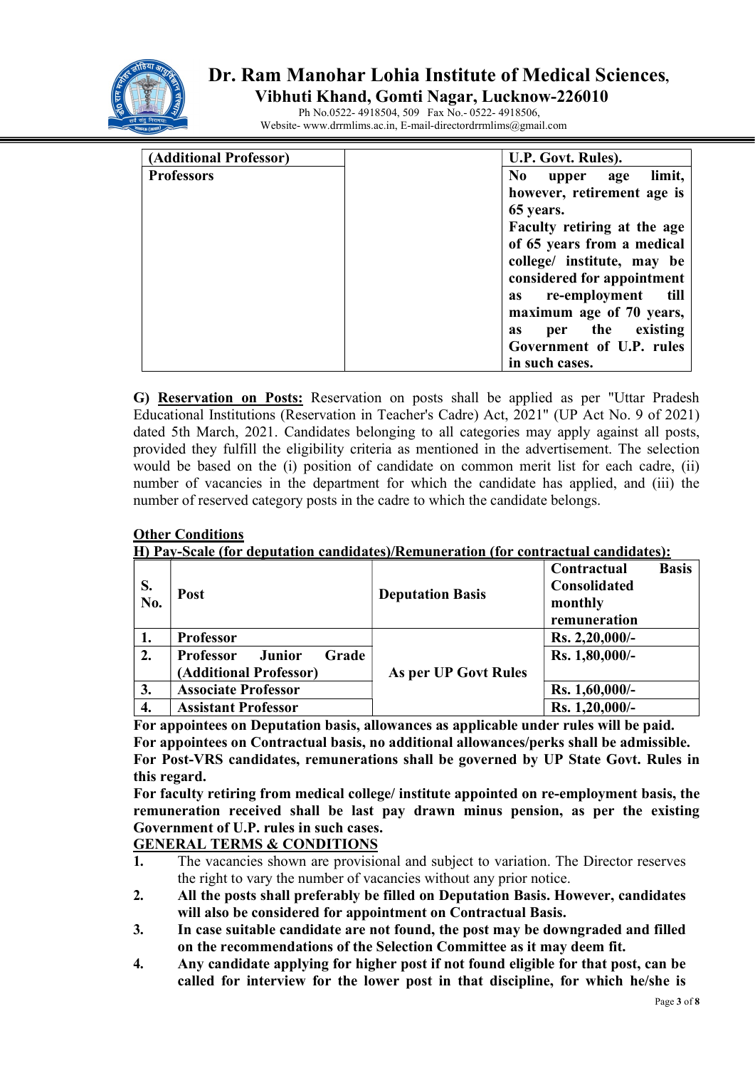

# Dr. Ram Manohar Lohia Institute of Medical Sciences,

 Vibhuti Khand, Gomti Nagar, Lucknow-226010 Ph No.0522- 4918504, 509 Fax No.- 0522- 4918506,

Website- www.drrmlims.ac.in, E-mail-directordrrmlims@gmail.com

| (Additional Professor) | U.P. Govt. Rules).                    |  |
|------------------------|---------------------------------------|--|
| <b>Professors</b>      | N <sub>0</sub><br>limit,<br>upper age |  |
|                        | however, retirement age is            |  |
|                        | 65 years.                             |  |
|                        | Faculty retiring at the age           |  |
|                        | of 65 years from a medical            |  |
|                        | college/ institute, may be            |  |
|                        | considered for appointment            |  |
|                        | as re-employment<br>till              |  |
|                        | maximum age of 70 years,              |  |
|                        | per the existing<br><b>as</b>         |  |
|                        | Government of U.P. rules              |  |
|                        | in such cases.                        |  |

G) Reservation on Posts: Reservation on posts shall be applied as per "Uttar Pradesh Educational Institutions (Reservation in Teacher's Cadre) Act, 2021" (UP Act No. 9 of 2021) dated 5th March, 2021. Candidates belonging to all categories may apply against all posts, provided they fulfill the eligibility criteria as mentioned in the advertisement. The selection would be based on the (i) position of candidate on common merit list for each cadre, (ii) number of vacancies in the department for which the candidate has applied, and (iii) the number of reserved category posts in the cadre to which the candidate belongs.

#### **Other Conditions**

H) Pay-Scale (for deputation candidates)/Remuneration (for contractual candidates):

| S.<br>No. | Post                                | <b>Deputation Basis</b> | <b>Basis</b><br>Contractual<br>Consolidated<br>monthly<br>remuneration |
|-----------|-------------------------------------|-------------------------|------------------------------------------------------------------------|
|           | <b>Professor</b>                    |                         | Rs. 2,20,000/-                                                         |
| 2.        | Grade<br><b>Professor</b><br>Junior |                         | Rs. 1,80,000/-                                                         |
|           | (Additional Professor)              | As per UP Govt Rules    |                                                                        |
| 3.        | <b>Associate Professor</b>          |                         | Rs. 1,60,000/-                                                         |
| 4.        | <b>Assistant Professor</b>          |                         | Rs. 1,20,000/-                                                         |

For appointees on Deputation basis, allowances as applicable under rules will be paid. For appointees on Contractual basis, no additional allowances/perks shall be admissible. For Post-VRS candidates, remunerations shall be governed by UP State Govt. Rules in this regard.

For faculty retiring from medical college/ institute appointed on re-employment basis, the remuneration received shall be last pay drawn minus pension, as per the existing Government of U.P. rules in such cases.

GENERAL TERMS & CONDITIONS

- 1. The vacancies shown are provisional and subject to variation. The Director reserves the right to vary the number of vacancies without any prior notice.
- 2. All the posts shall preferably be filled on Deputation Basis. However, candidates will also be considered for appointment on Contractual Basis.
- 3. In case suitable candidate are not found, the post may be downgraded and filled on the recommendations of the Selection Committee as it may deem fit.
- 4. Any candidate applying for higher post if not found eligible for that post, can be called for interview for the lower post in that discipline, for which he/she is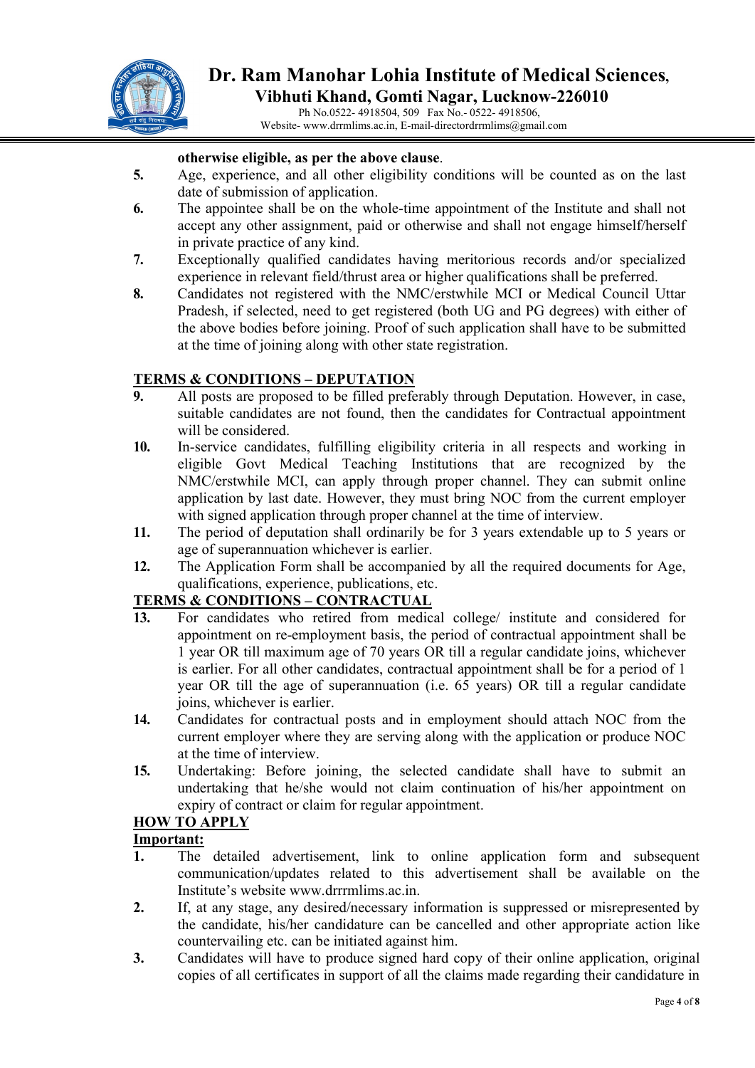

 Ph No.0522- 4918504, 509 Fax No.- 0522- 4918506, Website- www.drrmlims.ac.in, E-mail-directordrrmlims@gmail.com

#### otherwise eligible, as per the above clause.

- 5. Age, experience, and all other eligibility conditions will be counted as on the last date of submission of application.
- 6. The appointee shall be on the whole-time appointment of the Institute and shall not accept any other assignment, paid or otherwise and shall not engage himself/herself in private practice of any kind.
- 7. Exceptionally qualified candidates having meritorious records and/or specialized experience in relevant field/thrust area or higher qualifications shall be preferred.
- 8. Candidates not registered with the NMC/erstwhile MCI or Medical Council Uttar Pradesh, if selected, need to get registered (both UG and PG degrees) with either of the above bodies before joining. Proof of such application shall have to be submitted at the time of joining along with other state registration.

#### TERMS & CONDITIONS – DEPUTATION

- 9. All posts are proposed to be filled preferably through Deputation. However, in case, suitable candidates are not found, then the candidates for Contractual appointment will be considered.
- 10. In-service candidates, fulfilling eligibility criteria in all respects and working in eligible Govt Medical Teaching Institutions that are recognized by the NMC/erstwhile MCI, can apply through proper channel. They can submit online application by last date. However, they must bring NOC from the current employer with signed application through proper channel at the time of interview.
- 11. The period of deputation shall ordinarily be for 3 years extendable up to 5 years or age of superannuation whichever is earlier.
- 12. The Application Form shall be accompanied by all the required documents for Age, qualifications, experience, publications, etc.

#### TERMS & CONDITIONS – CONTRACTUAL

- 13. For candidates who retired from medical college/ institute and considered for appointment on re-employment basis, the period of contractual appointment shall be 1 year OR till maximum age of 70 years OR till a regular candidate joins, whichever is earlier. For all other candidates, contractual appointment shall be for a period of 1 year OR till the age of superannuation (i.e. 65 years) OR till a regular candidate joins, whichever is earlier.
- 14. Candidates for contractual posts and in employment should attach NOC from the current employer where they are serving along with the application or produce NOC at the time of interview.
- 15. Undertaking: Before joining, the selected candidate shall have to submit an undertaking that he/she would not claim continuation of his/her appointment on expiry of contract or claim for regular appointment.

#### HOW TO APPLY

#### Important:

- 1. The detailed advertisement, link to online application form and subsequent communication/updates related to this advertisement shall be available on the Institute's website www.drrrmlims.ac.in.
- 2. If, at any stage, any desired/necessary information is suppressed or misrepresented by the candidate, his/her candidature can be cancelled and other appropriate action like countervailing etc. can be initiated against him.
- 3. Candidates will have to produce signed hard copy of their online application, original copies of all certificates in support of all the claims made regarding their candidature in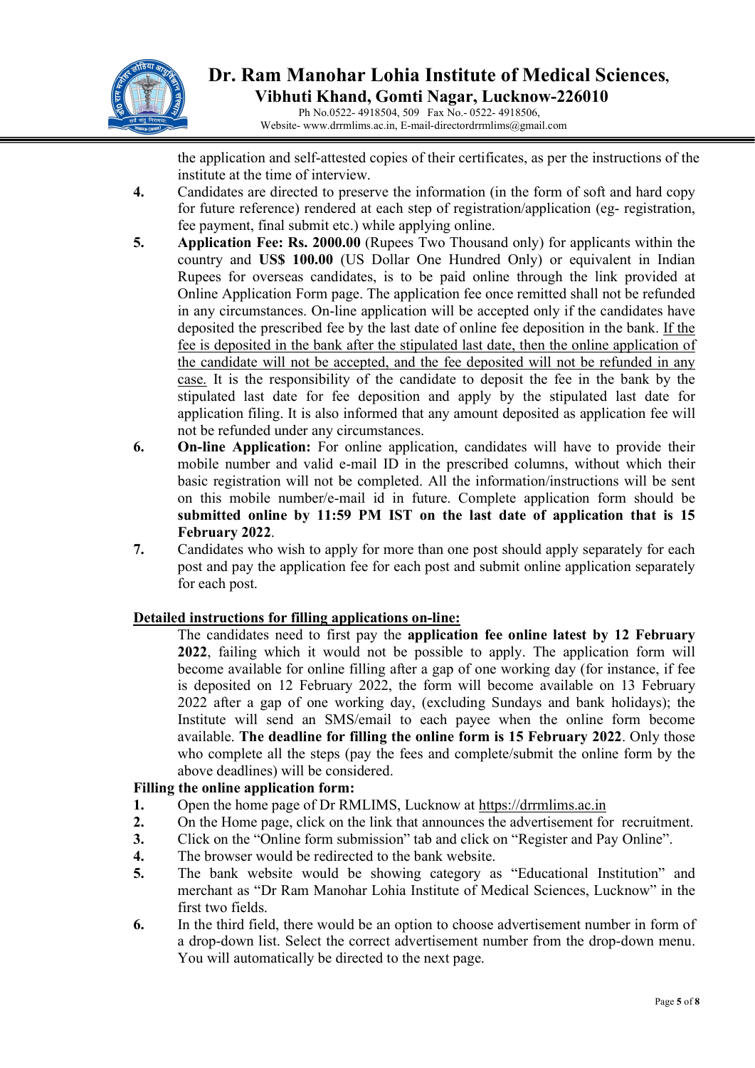

### Dr. Ram Manohar Lohia Institute of Medical Sciences, Vibhuti Khand, Gomti Nagar, Lucknow-226010 Ph No.0522- 4918504, 509 Fax No.- 0522- 4918506,

Website- www.drrmlims.ac.in, E-mail-directordrrmlims@gmail.com

 the application and self-attested copies of their certificates, as per the instructions of the institute at the time of interview.

- 4. Candidates are directed to preserve the information (in the form of soft and hard copy for future reference) rendered at each step of registration/application (eg- registration, fee payment, final submit etc.) while applying online.
- 5. Application Fee: Rs. 2000.00 (Rupees Two Thousand only) for applicants within the country and US\$ 100.00 (US Dollar One Hundred Only) or equivalent in Indian Rupees for overseas candidates, is to be paid online through the link provided at Online Application Form page. The application fee once remitted shall not be refunded in any circumstances. On-line application will be accepted only if the candidates have deposited the prescribed fee by the last date of online fee deposition in the bank. If the fee is deposited in the bank after the stipulated last date, then the online application of the candidate will not be accepted, and the fee deposited will not be refunded in any case. It is the responsibility of the candidate to deposit the fee in the bank by the stipulated last date for fee deposition and apply by the stipulated last date for application filing. It is also informed that any amount deposited as application fee will not be refunded under any circumstances.
- 6. On-line Application: For online application, candidates will have to provide their mobile number and valid e-mail ID in the prescribed columns, without which their basic registration will not be completed. All the information/instructions will be sent on this mobile number/e-mail id in future. Complete application form should be submitted online by 11:59 PM IST on the last date of application that is 15 February 2022.
- 7. Candidates who wish to apply for more than one post should apply separately for each post and pay the application fee for each post and submit online application separately for each post.

#### Detailed instructions for filling applications on-line:

The candidates need to first pay the application fee online latest by 12 February 2022, failing which it would not be possible to apply. The application form will become available for online filling after a gap of one working day (for instance, if fee is deposited on 12 February 2022, the form will become available on 13 February 2022 after a gap of one working day, (excluding Sundays and bank holidays); the Institute will send an SMS/email to each payee when the online form become available. The deadline for filling the online form is 15 February 2022. Only those who complete all the steps (pay the fees and complete/submit the online form by the above deadlines) will be considered.

#### Filling the online application form:

- 1. Open the home page of Dr RMLIMS, Lucknow at https://drrmlims.ac.in
- 2. On the Home page, click on the link that announces the advertisement for recruitment.
- 3. Click on the "Online form submission" tab and click on "Register and Pay Online".
- 4. The browser would be redirected to the bank website.
- 5. The bank website would be showing category as "Educational Institution" and merchant as "Dr Ram Manohar Lohia Institute of Medical Sciences, Lucknow" in the first two fields.
- 6. In the third field, there would be an option to choose advertisement number in form of a drop-down list. Select the correct advertisement number from the drop-down menu. You will automatically be directed to the next page.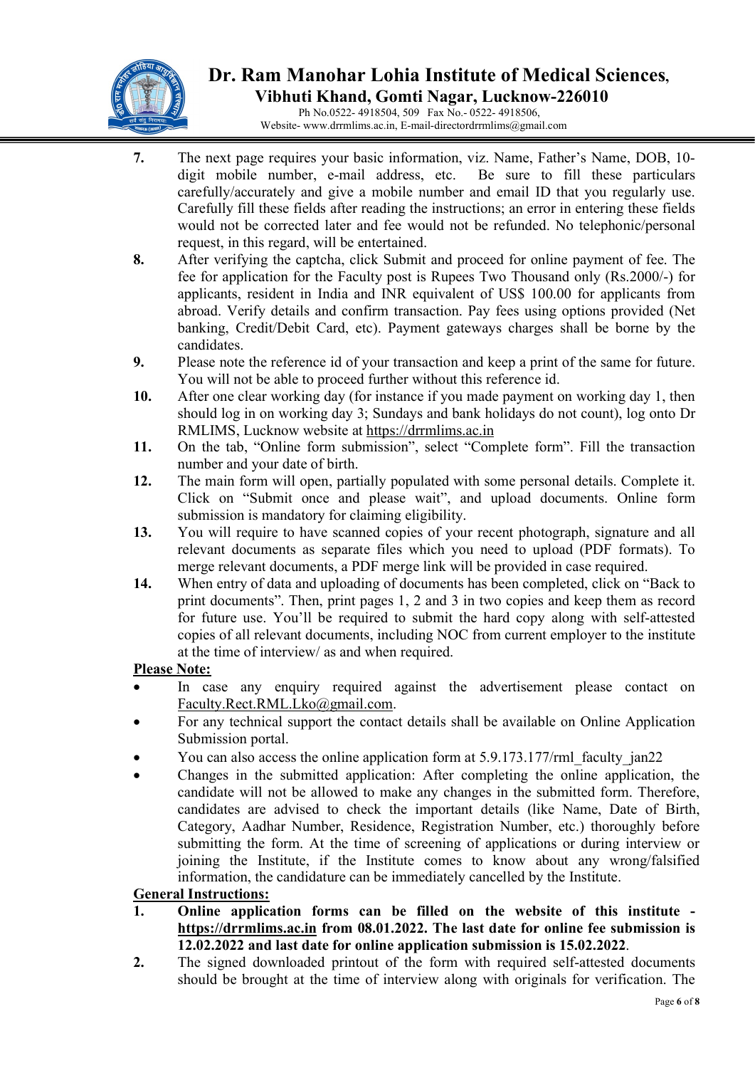

 Ph No.0522- 4918504, 509 Fax No.- 0522- 4918506, Website- www.drrmlims.ac.in, E-mail-directordrrmlims@gmail.com

- 7. The next page requires your basic information, viz. Name, Father's Name, DOB, 10 digit mobile number, e-mail address, etc. Be sure to fill these particulars carefully/accurately and give a mobile number and email ID that you regularly use. Carefully fill these fields after reading the instructions; an error in entering these fields would not be corrected later and fee would not be refunded. No telephonic/personal request, in this regard, will be entertained.
- 8. After verifying the captcha, click Submit and proceed for online payment of fee. The fee for application for the Faculty post is Rupees Two Thousand only (Rs.2000/-) for applicants, resident in India and INR equivalent of US\$ 100.00 for applicants from abroad. Verify details and confirm transaction. Pay fees using options provided (Net banking, Credit/Debit Card, etc). Payment gateways charges shall be borne by the candidates.
- 9. Please note the reference id of your transaction and keep a print of the same for future. You will not be able to proceed further without this reference id.
- 10. After one clear working day (for instance if you made payment on working day 1, then should log in on working day 3; Sundays and bank holidays do not count), log onto Dr RMLIMS, Lucknow website at https://drrmlims.ac.in
- 11. On the tab, "Online form submission", select "Complete form". Fill the transaction number and your date of birth.
- 12. The main form will open, partially populated with some personal details. Complete it. Click on "Submit once and please wait", and upload documents. Online form submission is mandatory for claiming eligibility.
- 13. You will require to have scanned copies of your recent photograph, signature and all relevant documents as separate files which you need to upload (PDF formats). To merge relevant documents, a PDF merge link will be provided in case required.
- 14. When entry of data and uploading of documents has been completed, click on "Back to print documents". Then, print pages 1, 2 and 3 in two copies and keep them as record for future use. You'll be required to submit the hard copy along with self-attested copies of all relevant documents, including NOC from current employer to the institute at the time of interview/ as and when required.

### Please Note:

- In case any enquiry required against the advertisement please contact on Faculty.Rect.RML.Lko@gmail.com.
- For any technical support the contact details shall be available on Online Application Submission portal.
- You can also access the online application form at 5.9.173.177/rml faculty jan22
- Changes in the submitted application: After completing the online application, the candidate will not be allowed to make any changes in the submitted form. Therefore, candidates are advised to check the important details (like Name, Date of Birth, Category, Aadhar Number, Residence, Registration Number, etc.) thoroughly before submitting the form. At the time of screening of applications or during interview or joining the Institute, if the Institute comes to know about any wrong/falsified information, the candidature can be immediately cancelled by the Institute.

### General Instructions:

- 1. Online application forms can be filled on the website of this institute https://drrmlims.ac.in from 08.01.2022. The last date for online fee submission is 12.02.2022 and last date for online application submission is 15.02.2022.
- 2. The signed downloaded printout of the form with required self-attested documents should be brought at the time of interview along with originals for verification. The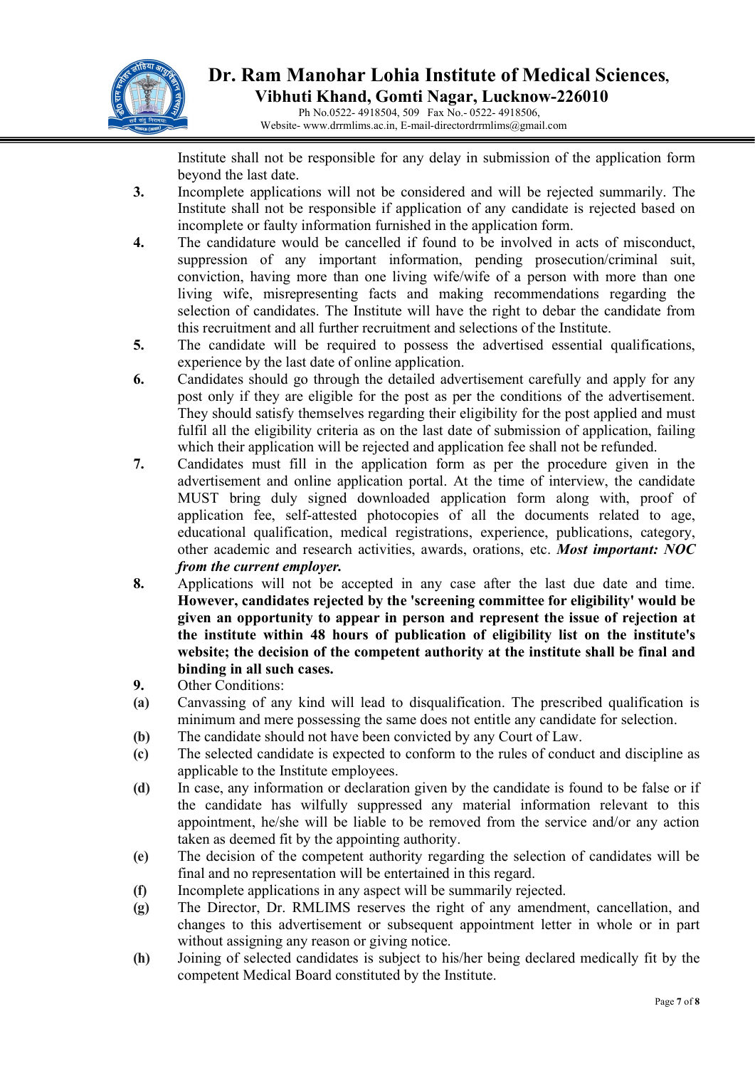

 Ph No.0522- 4918504, 509 Fax No.- 0522- 4918506, Website- www.drrmlims.ac.in, E-mail-directordrrmlims@gmail.com

 Institute shall not be responsible for any delay in submission of the application form beyond the last date.

- 3. Incomplete applications will not be considered and will be rejected summarily. The Institute shall not be responsible if application of any candidate is rejected based on incomplete or faulty information furnished in the application form.
- 4. The candidature would be cancelled if found to be involved in acts of misconduct, suppression of any important information, pending prosecution/criminal suit, conviction, having more than one living wife/wife of a person with more than one living wife, misrepresenting facts and making recommendations regarding the selection of candidates. The Institute will have the right to debar the candidate from this recruitment and all further recruitment and selections of the Institute.
- 5. The candidate will be required to possess the advertised essential qualifications, experience by the last date of online application.
- 6. Candidates should go through the detailed advertisement carefully and apply for any post only if they are eligible for the post as per the conditions of the advertisement. They should satisfy themselves regarding their eligibility for the post applied and must fulfil all the eligibility criteria as on the last date of submission of application, failing which their application will be rejected and application fee shall not be refunded.
- 7. Candidates must fill in the application form as per the procedure given in the advertisement and online application portal. At the time of interview, the candidate MUST bring duly signed downloaded application form along with, proof of application fee, self-attested photocopies of all the documents related to age, educational qualification, medical registrations, experience, publications, category, other academic and research activities, awards, orations, etc. Most important: NOC from the current employer.
- 8. Applications will not be accepted in any case after the last due date and time. However, candidates rejected by the 'screening committee for eligibility' would be given an opportunity to appear in person and represent the issue of rejection at the institute within 48 hours of publication of eligibility list on the institute's website; the decision of the competent authority at the institute shall be final and binding in all such cases.
- 9. Other Conditions:
- (a) Canvassing of any kind will lead to disqualification. The prescribed qualification is minimum and mere possessing the same does not entitle any candidate for selection.
- (b) The candidate should not have been convicted by any Court of Law.
- (c) The selected candidate is expected to conform to the rules of conduct and discipline as applicable to the Institute employees.
- (d) In case, any information or declaration given by the candidate is found to be false or if the candidate has wilfully suppressed any material information relevant to this appointment, he/she will be liable to be removed from the service and/or any action taken as deemed fit by the appointing authority.
- (e) The decision of the competent authority regarding the selection of candidates will be final and no representation will be entertained in this regard.
- (f) Incomplete applications in any aspect will be summarily rejected.
- (g) The Director, Dr. RMLIMS reserves the right of any amendment, cancellation, and changes to this advertisement or subsequent appointment letter in whole or in part without assigning any reason or giving notice.
- (h) Joining of selected candidates is subject to his/her being declared medically fit by the competent Medical Board constituted by the Institute.